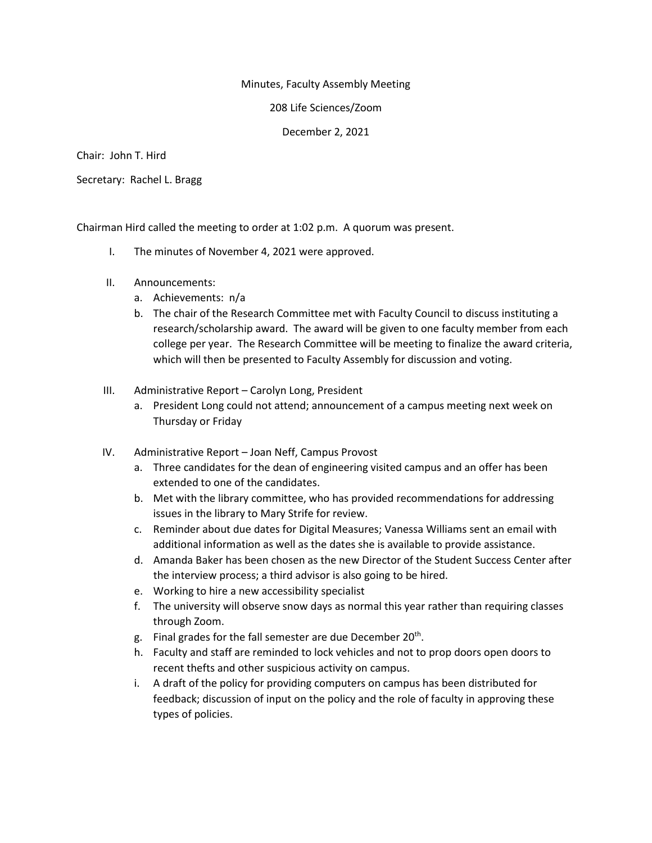## Minutes, Faculty Assembly Meeting

208 Life Sciences/Zoom

December 2, 2021

Chair: John T. Hird

Secretary: Rachel L. Bragg

Chairman Hird called the meeting to order at 1:02 p.m. A quorum was present.

- I. The minutes of November 4, 2021 were approved.
- II. Announcements:
	- a. Achievements: n/a
	- b. The chair of the Research Committee met with Faculty Council to discuss instituting a research/scholarship award. The award will be given to one faculty member from each college per year. The Research Committee will be meeting to finalize the award criteria, which will then be presented to Faculty Assembly for discussion and voting.
- III. Administrative Report Carolyn Long, President
	- a. President Long could not attend; announcement of a campus meeting next week on Thursday or Friday
- IV. Administrative Report Joan Neff, Campus Provost
	- a. Three candidates for the dean of engineering visited campus and an offer has been extended to one of the candidates.
	- b. Met with the library committee, who has provided recommendations for addressing issues in the library to Mary Strife for review.
	- c. Reminder about due dates for Digital Measures; Vanessa Williams sent an email with additional information as well as the dates she is available to provide assistance.
	- d. Amanda Baker has been chosen as the new Director of the Student Success Center after the interview process; a third advisor is also going to be hired.
	- e. Working to hire a new accessibility specialist
	- f. The university will observe snow days as normal this year rather than requiring classes through Zoom.
	- g. Final grades for the fall semester are due December  $20<sup>th</sup>$ .
	- h. Faculty and staff are reminded to lock vehicles and not to prop doors open doors to recent thefts and other suspicious activity on campus.
	- i. A draft of the policy for providing computers on campus has been distributed for feedback; discussion of input on the policy and the role of faculty in approving these types of policies.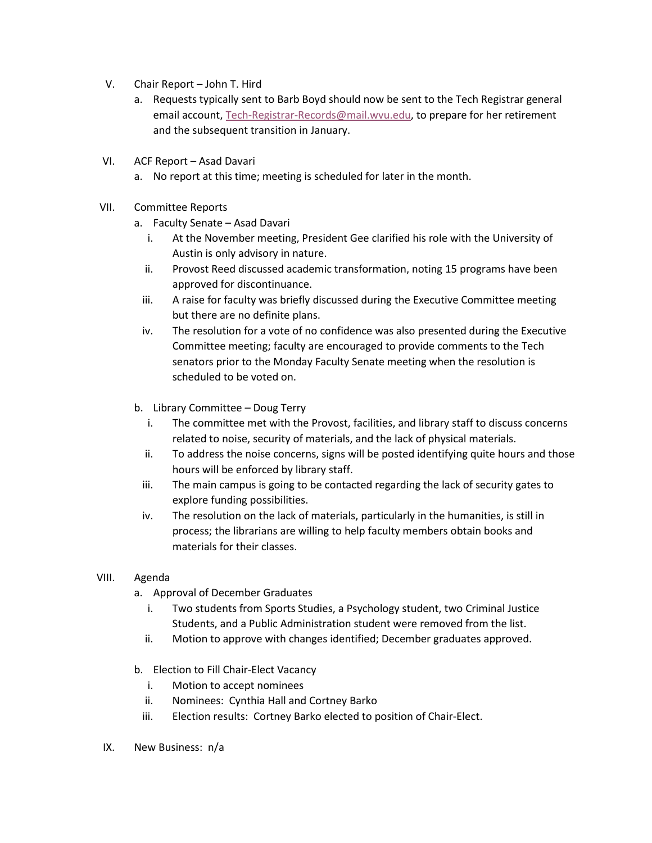- V. Chair Report John T. Hird
	- a. Requests typically sent to Barb Boyd should now be sent to the Tech Registrar general email account, [Tech-Registrar-Records@mail.wvu.edu,](mailto:Tech-Registrar-Records@mail.wvu.edu) to prepare for her retirement and the subsequent transition in January.
- VI. ACF Report Asad Davari
	- a. No report at this time; meeting is scheduled for later in the month.
- VII. Committee Reports
	- a. Faculty Senate Asad Davari
		- i. At the November meeting, President Gee clarified his role with the University of Austin is only advisory in nature.
		- ii. Provost Reed discussed academic transformation, noting 15 programs have been approved for discontinuance.
		- iii. A raise for faculty was briefly discussed during the Executive Committee meeting but there are no definite plans.
		- iv. The resolution for a vote of no confidence was also presented during the Executive Committee meeting; faculty are encouraged to provide comments to the Tech senators prior to the Monday Faculty Senate meeting when the resolution is scheduled to be voted on.
	- b. Library Committee Doug Terry
		- i. The committee met with the Provost, facilities, and library staff to discuss concerns related to noise, security of materials, and the lack of physical materials.
		- ii. To address the noise concerns, signs will be posted identifying quite hours and those hours will be enforced by library staff.
		- iii. The main campus is going to be contacted regarding the lack of security gates to explore funding possibilities.
		- iv. The resolution on the lack of materials, particularly in the humanities, is still in process; the librarians are willing to help faculty members obtain books and materials for their classes.
- VIII. Agenda
	- a. Approval of December Graduates
		- i. Two students from Sports Studies, a Psychology student, two Criminal Justice Students, and a Public Administration student were removed from the list.
		- ii. Motion to approve with changes identified; December graduates approved.
	- b. Election to Fill Chair-Elect Vacancy
		- i. Motion to accept nominees
		- ii. Nominees: Cynthia Hall and Cortney Barko
		- iii. Election results: Cortney Barko elected to position of Chair-Elect.
- IX. New Business: n/a